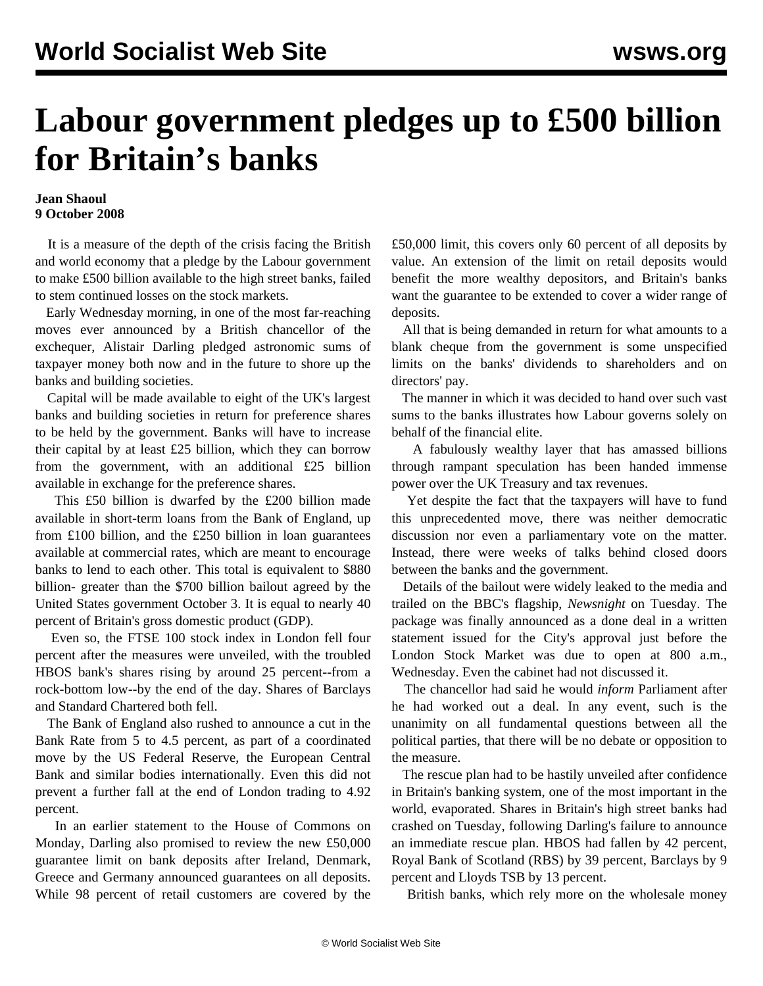## **Labour government pledges up to £500 billion for Britain's banks**

## **Jean Shaoul 9 October 2008**

 It is a measure of the depth of the crisis facing the British and world economy that a pledge by the Labour government to make £500 billion available to the high street banks, failed to stem continued losses on the stock markets.

 Early Wednesday morning, in one of the most far-reaching moves ever announced by a British chancellor of the exchequer, Alistair Darling pledged astronomic sums of taxpayer money both now and in the future to shore up the banks and building societies.

 Capital will be made available to eight of the UK's largest banks and building societies in return for preference shares to be held by the government. Banks will have to increase their capital by at least £25 billion, which they can borrow from the government, with an additional £25 billion available in exchange for the preference shares.

 This £50 billion is dwarfed by the £200 billion made available in short-term loans from the Bank of England, up from £100 billion, and the £250 billion in loan guarantees available at commercial rates, which are meant to encourage banks to lend to each other. This total is equivalent to \$880 billion- greater than the \$700 billion bailout agreed by the United States government October 3. It is equal to nearly 40 percent of Britain's gross domestic product (GDP).

 Even so, the FTSE 100 stock index in London fell four percent after the measures were unveiled, with the troubled HBOS bank's shares rising by around 25 percent--from a rock-bottom low--by the end of the day. Shares of Barclays and Standard Chartered both fell.

 The Bank of England also rushed to announce a cut in the Bank Rate from 5 to 4.5 percent, as part of a coordinated move by the US Federal Reserve, the European Central Bank and similar bodies internationally. Even this did not prevent a further fall at the end of London trading to 4.92 percent.

 In an earlier statement to the House of Commons on Monday, Darling also promised to review the new £50,000 guarantee limit on bank deposits after Ireland, Denmark, Greece and Germany announced guarantees on all deposits. While 98 percent of retail customers are covered by the £50,000 limit, this covers only 60 percent of all deposits by value. An extension of the limit on retail deposits would benefit the more wealthy depositors, and Britain's banks want the guarantee to be extended to cover a wider range of deposits.

 All that is being demanded in return for what amounts to a blank cheque from the government is some unspecified limits on the banks' dividends to shareholders and on directors' pay.

 The manner in which it was decided to hand over such vast sums to the banks illustrates how Labour governs solely on behalf of the financial elite.

 A fabulously wealthy layer that has amassed billions through rampant speculation has been handed immense power over the UK Treasury and tax revenues.

 Yet despite the fact that the taxpayers will have to fund this unprecedented move, there was neither democratic discussion nor even a parliamentary vote on the matter. Instead, there were weeks of talks behind closed doors between the banks and the government.

 Details of the bailout were widely leaked to the media and trailed on the BBC's flagship, *Newsnight* on Tuesday. The package was finally announced as a done deal in a written statement issued for the City's approval just before the London Stock Market was due to open at 800 a.m., Wednesday. Even the cabinet had not discussed it.

 The chancellor had said he would *inform* Parliament after he had worked out a deal. In any event, such is the unanimity on all fundamental questions between all the political parties, that there will be no debate or opposition to the measure.

 The rescue plan had to be hastily unveiled after confidence in Britain's banking system, one of the most important in the world, evaporated. Shares in Britain's high street banks had crashed on Tuesday, following Darling's failure to announce an immediate rescue plan. HBOS had fallen by 42 percent, Royal Bank of Scotland (RBS) by 39 percent, Barclays by 9 percent and Lloyds TSB by 13 percent.

British banks, which rely more on the wholesale money